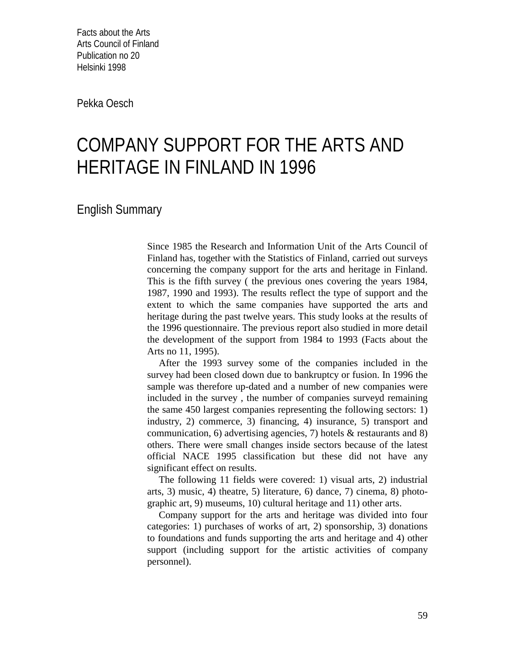Facts about the Arts Arts Council of Finland Publication no 20 Helsinki 1998

Pekka Oesch

## COMPANY SUPPORT FOR THE ARTS AND HERITAGE IN FINLAND IN 1996

English Summary

Since 1985 the Research and Information Unit of the Arts Council of Finland has, together with the Statistics of Finland, carried out surveys concerning the company support for the arts and heritage in Finland. This is the fifth survey ( the previous ones covering the years 1984, 1987, 1990 and 1993). The results reflect the type of support and the extent to which the same companies have supported the arts and heritage during the past twelve years. This study looks at the results of the 1996 questionnaire. The previous report also studied in more detail the development of the support from 1984 to 1993 (Facts about the Arts no 11, 1995).

After the 1993 survey some of the companies included in the survey had been closed down due to bankruptcy or fusion. In 1996 the sample was therefore up-dated and a number of new companies were included in the survey , the number of companies surveyd remaining the same 450 largest companies representing the following sectors: 1) industry, 2) commerce, 3) financing, 4) insurance, 5) transport and communication, 6) advertising agencies, 7) hotels & restaurants and 8) others. There were small changes inside sectors because of the latest official NACE 1995 classification but these did not have any significant effect on results.

The following 11 fields were covered: 1) visual arts, 2) industrial arts, 3) music, 4) theatre, 5) literature, 6) dance, 7) cinema, 8) photographic art, 9) museums, 10) cultural heritage and 11) other arts.

Company support for the arts and heritage was divided into four categories: 1) purchases of works of art, 2) sponsorship, 3) donations to foundations and funds supporting the arts and heritage and 4) other support (including support for the artistic activities of company personnel).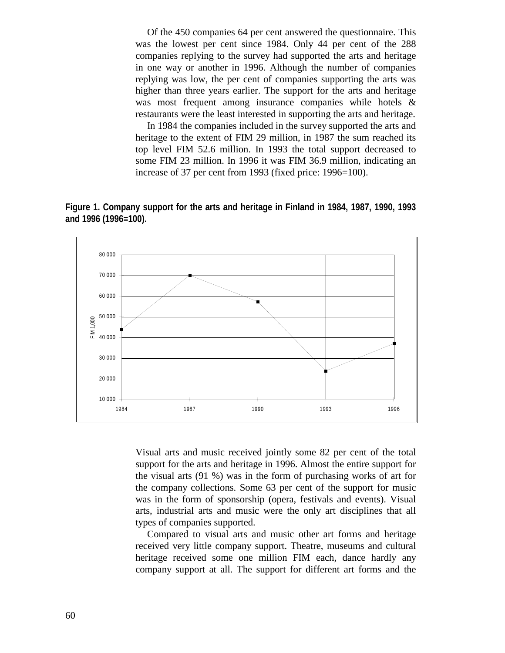Of the 450 companies 64 per cent answered the questionnaire. This was the lowest per cent since 1984. Only 44 per cent of the 288 companies replying to the survey had supported the arts and heritage in one way or another in 1996. Although the number of companies replying was low, the per cent of companies supporting the arts was higher than three years earlier. The support for the arts and heritage was most frequent among insurance companies while hotels & restaurants were the least interested in supporting the arts and heritage.

In 1984 the companies included in the survey supported the arts and heritage to the extent of FIM 29 million, in 1987 the sum reached its top level FIM 52.6 million. In 1993 the total support decreased to some FIM 23 million. In 1996 it was FIM 36.9 million, indicating an increase of 37 per cent from 1993 (fixed price: 1996=100).

**Figure 1. Company support for the arts and heritage in Finland in 1984, 1987, 1990, 1993 and 1996 (1996=100).**



Visual arts and music received jointly some 82 per cent of the total support for the arts and heritage in 1996. Almost the entire support for the visual arts (91 %) was in the form of purchasing works of art for the company collections. Some 63 per cent of the support for music was in the form of sponsorship (opera, festivals and events). Visual arts, industrial arts and music were the only art disciplines that all types of companies supported.

Compared to visual arts and music other art forms and heritage received very little company support. Theatre, museums and cultural heritage received some one million FIM each, dance hardly any company support at all. The support for different art forms and the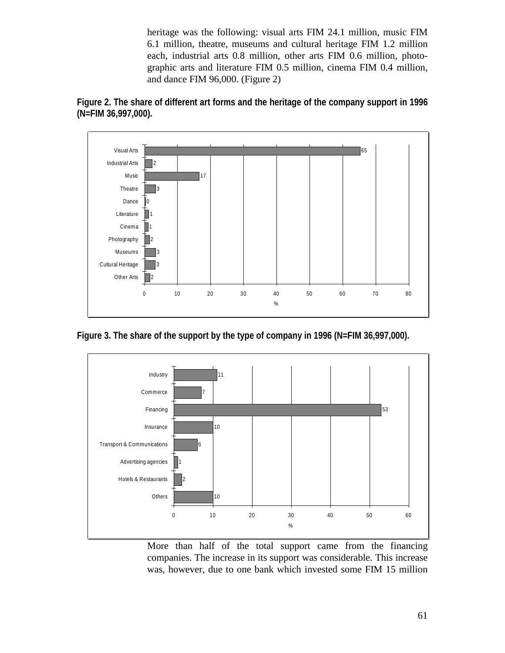heritage was the following: visual arts FIM 24.1 million, music FIM 6.1 million, theatre, museums and cultural heritage FIM 1.2 million each, industrial arts 0.8 million, other arts FIM 0.6 million, photographic arts and literature FIM 0.5 million, cinema FIM 0.4 million, and dance FIM 96,000. (Figure 2)





**Figure 3. The share of the support by the type of company in 1996 (N=FIM 36,997,000).**



More than half of the total support came from the financing companies. The increase in its support was considerable. This increase was, however, due to one bank which invested some FIM 15 million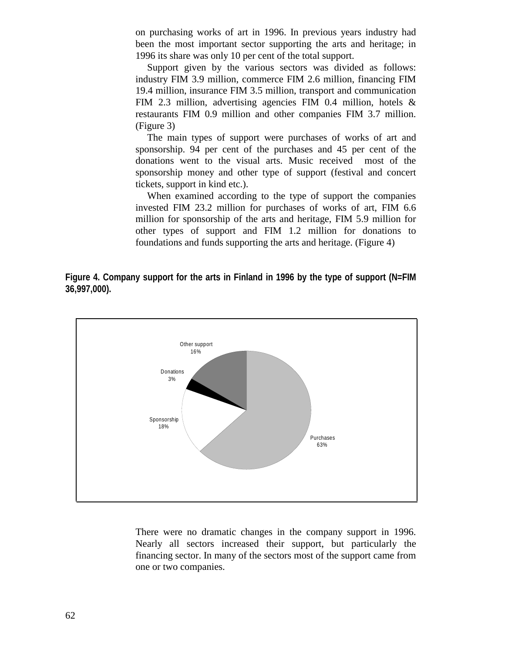on purchasing works of art in 1996. In previous years industry had been the most important sector supporting the arts and heritage; in 1996 its share was only 10 per cent of the total support.

Support given by the various sectors was divided as follows: industry FIM 3.9 million, commerce FIM 2.6 million, financing FIM 19.4 million, insurance FIM 3.5 million, transport and communication FIM 2.3 million, advertising agencies FIM 0.4 million, hotels & restaurants FIM 0.9 million and other companies FIM 3.7 million. (Figure 3)

The main types of support were purchases of works of art and sponsorship. 94 per cent of the purchases and 45 per cent of the donations went to the visual arts. Music received most of the sponsorship money and other type of support (festival and concert tickets, support in kind etc.).

When examined according to the type of support the companies invested FIM 23.2 million for purchases of works of art, FIM 6.6 million for sponsorship of the arts and heritage, FIM 5.9 million for other types of support and FIM 1.2 million for donations to foundations and funds supporting the arts and heritage. (Figure 4)

**Figure 4. Company support for the arts in Finland in 1996 by the type of support (N=FIM 36,997,000).**



There were no dramatic changes in the company support in 1996. Nearly all sectors increased their support, but particularly the financing sector. In many of the sectors most of the support came from one or two companies.